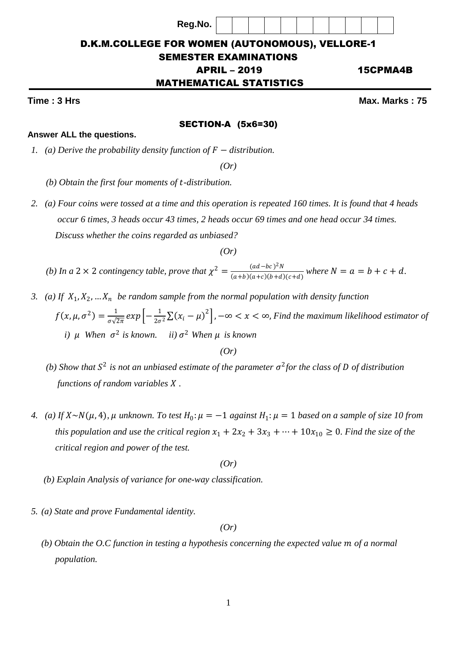| <b>D.K.M.COLLEGE FOR WOMEN (AUTONOMOUS), VELLORE-1</b> |          |  |  |  |  |
|--------------------------------------------------------|----------|--|--|--|--|
| <b>SEMESTER EXAMINATIONS</b>                           |          |  |  |  |  |
| <b>APRIL - 2019</b>                                    | 15CPMA4B |  |  |  |  |

**Reg.No.**

# MATHEMATICAL STATISTICS

#### SECTION-A (5x6=30)

### **Answer ALL the questions.**

*1. (a) Derive the probability density function of*  $F −$  *distribution.* 

*(Or)*

- *(b) Obtain the first four moments of -distribution.*
- *2. (a) Four coins were tossed at a time and this operation is repeated 160 times. It is found that 4 heads occur 6 times, 3 heads occur 43 times, 2 heads occur 69 times and one head occur 34 times. Discuss whether the coins regarded as unbiased?*

*(Or)*

*(b) In a* 2 × 2 *contingency table, prove that*  $\chi^2 = \frac{(ad-bc)^2N}{(ad-b)(ad-b)(ad-b)}$  $\frac{(au-bc)N}{(a+b)(a+c)(b+d)(c+d)}$  where  $N = a = b + c + d$ .

3. (a) If  $X_1, X_2, ... X_n$  be random sample from the normal population with density function  $f(x, \mu, \sigma^2) = \frac{1}{\sqrt{2}}$  $\frac{1}{\sigma\sqrt{2\pi}}exp\left[-\frac{1}{2\sigma}\right]$  $\frac{1}{2\sigma^2}\Sigma(x_i - \mu)^2$ , −∞ < x < ∞, *Find the maximum likelihood estimator of* 

*i*)  $\mu$  When  $\sigma^2$  is known. *ii*)  $\sigma^2$  When  $\mu$  is known

*(Or)*

- *(b)* Show that  $S^2$  is not an unbiased estimate of the parameter  $\sigma^2$  for the class of D of distribution  *functions of random variables .*
- *4.* (a) If  $X \sim N(\mu, 4)$ ,  $\mu$  unknown. To test  $H_0: \mu = -1$  against  $H_1: \mu = 1$  based on a sample of size 10 from *this population and use the critical region*  $x_1 + 2x_2 + 3x_3 + \cdots + 10x_{10} \ge 0$ *. Find the size of the critical region and power of the test.*

*(Or)*

- *(b) Explain Analysis of variance for one-way classification.*
- *5. (a) State and prove Fundamental identity.*

*(Or)*

*(b) Obtain the O.C function in testing a hypothesis concerning the expected value m of a normal population.*

**Time : 3 Hrs** Max. Marks : 75